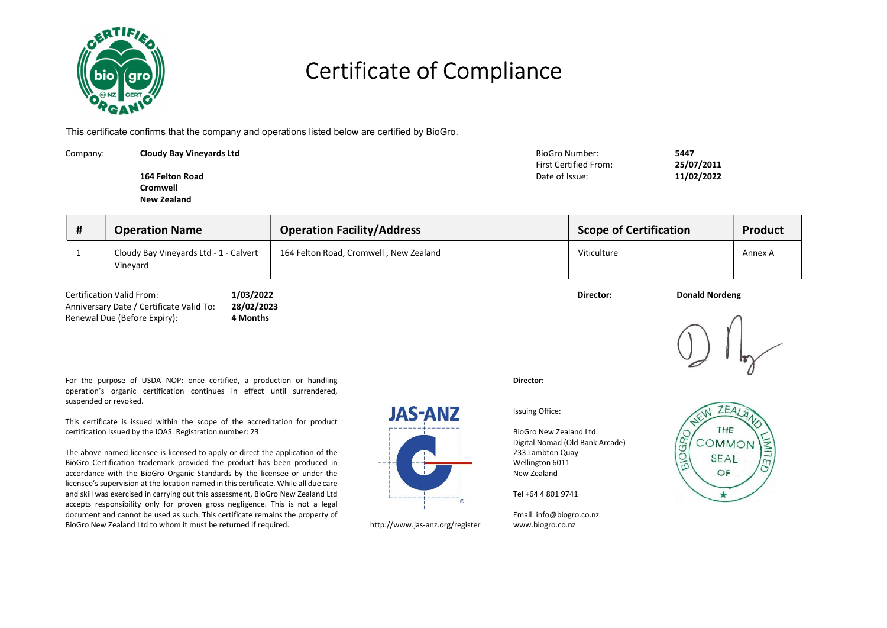

### Certificate of Compliance

This certificate confirms that the company and operations listed below are certified by BioGro.

| Company: | <b>Cloudy Bay Vinevards Ltd</b> | BioGro Number:<br>First Certified From: | 5447<br>25/07/2011 |
|----------|---------------------------------|-----------------------------------------|--------------------|
|          | 164 Felton Road                 | Date of Issue:                          | 11/02/2022         |
|          | Cromwell                        |                                         |                    |
|          | New Zealand                     |                                         |                    |

| Н. | <b>Operation Name</b>                              | <b>Operation Facility/Address</b>      | <b>Scope of Certification</b> | <b>Product</b> |  |  |
|----|----------------------------------------------------|----------------------------------------|-------------------------------|----------------|--|--|
|    | Cloudy Bay Vineyards Ltd - 1 - Calvert<br>Vineyard | 164 Felton Road, Cromwell, New Zealand | Viticulture                   | Annex A        |  |  |

| <b>Certification Valid From:</b>         | 1/03/2022  | Director: | <b>Donald Nordeng</b> |
|------------------------------------------|------------|-----------|-----------------------|
| Anniversary Date / Certificate Valid To: | 28/02/2023 |           |                       |
| Renewal Due (Before Expiry):             | 1 Months   |           |                       |

For the purpose of USDA NOP: once certified, a production or handling operation's organic certification continues in effect until surrendered, suspended or revoked.

This certificate is issued within the scope of the accreditation for product certification issued by the IOAS. Registration number: 23

The above named licensee is licensed to apply or direct the application of the BioGro Certification trademark provided the product has been produced in accordance with the BioGro Organic Standards by the licensee or under the licensee's supervision at the location named in this certificate. While all due care and skill was exercised in carrying out this assessment, BioGro New Zealand Ltd accepts responsibility only for proven gross negligence. This is not a legal document and cannot be used as such. This certificate remains the property of BioGro New Zealand Ltd to whom it must be returned if required. http://www.jas-anz.org/register

# **JAS-ANZ**



Director:

Issuing Office:

BioGro New Zealand Ltd Digital Nomad (Old Bank Arcade) 233 Lambton Quay Wellington 6011 New Zealand

Tel +64 4 801 9741

Email: info@biogro.co.nz www.biogro.co.nz